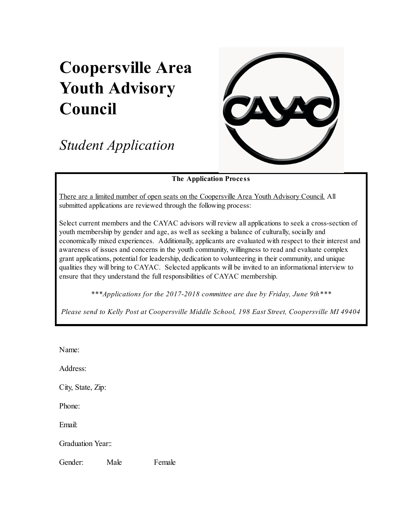## **Coopersville Area Youth Advisory Council**

*Student Application*



## **The Application Process**

There are a limited number of open seats on the Coopersville Area Youth Advisory Council. All submitted applications are reviewed through the following process:

Select current members and the CAYAC advisors will review all applications to seek a cross-section of youth membership by gender and age, as well as seeking a balance of culturally, socially and economically mixed experiences. Additionally, applicants are evaluated with respect to their interest and awareness of issues and concerns in the youth community, willingness to read and evaluate complex grant applications, potential for leadership, dedication to volunteering in their community, and unique qualities they will bring to CAYAC. Selected applicants will be invited to an informational interview to ensure that they understand the full responsibilities of CAYAC membership.

*\*\*\*Applications for the 20172018 committee are due by Friday, June 9th\*\*\**

*Please send to Kelly Post at Coopersville Middle School, 198 East Street, Coopersville MI 49404*

Name:

Address:

City, State, Zip:

Phone:

Email:

Graduation Year<sup>"</sup>

Gender: Male Female